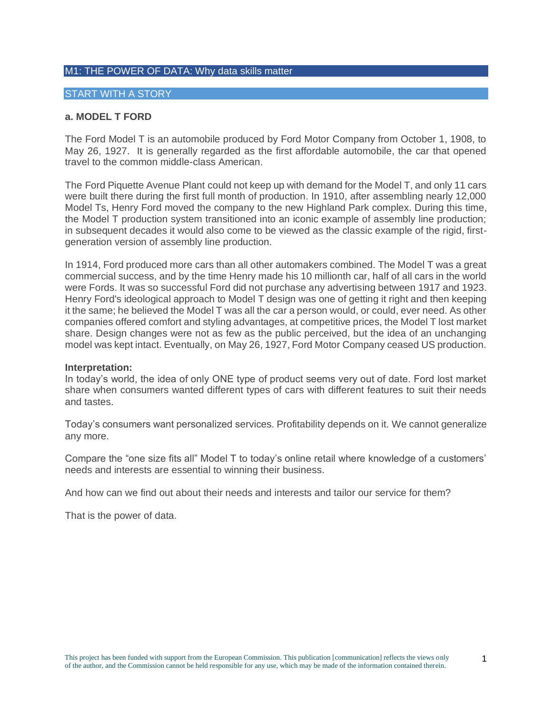#### M1: THE POWER OF DATA: Why data skills matter

#### START WITH A STORY

#### **a. MODEL T FORD**

The Ford Model T is an automobile produced by Ford Motor Company from October 1, 1908, to May 26, 1927. It is generally regarded as the first affordable automobile, the car that opened travel to the common middle-class American.

The Ford Piquette Avenue Plant could not keep up with demand for the Model T, and only 11 cars were built there during the first full month of production. In 1910, after assembling nearly 12,000 Model Ts, Henry Ford moved the company to the new Highland Park complex. During this time, the Model T production system transitioned into an iconic example of assembly line production; in subsequent decades it would also come to be viewed as the classic example of the rigid, firstgeneration version of assembly line production.

In 1914, Ford produced more cars than all other automakers combined. The Model T was a great commercial success, and by the time Henry made his 10 millionth car, half of all cars in the world were Fords. It was so successful Ford did not purchase any advertising between 1917 and 1923. Henry Ford's ideological approach to Model T design was one of getting it right and then keeping it the same; he believed the Model T was all the car a person would, or could, ever need. As other companies offered comfort and styling advantages, at competitive prices, the Model T lost market share. Design changes were not as few as the public perceived, but the idea of an unchanging model was kept intact. Eventually, on May 26, 1927, Ford Motor Company ceased US production.

#### **Interpretation:**

In today's world, the idea of only ONE type of product seems very out of date. Ford lost market share when consumers wanted different types of cars with different features to suit their needs and tastes.

Today's consumers want personalized services. Profitability depends on it. We cannot generalize any more.

Compare the "one size fits all" Model T to today's online retail where knowledge of a customers' needs and interests are essential to winning their business.

And how can we find out about their needs and interests and tailor our service for them?

That is the power of data.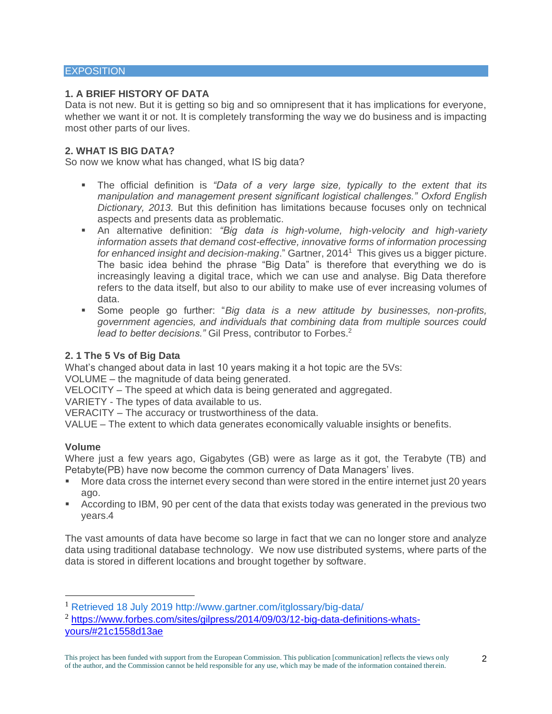#### **EXPOSITION**

## **1. A BRIEF HISTORY OF DATA**

Data is not new. But it is getting so big and so omnipresent that it has implications for everyone, whether we want it or not. It is completely transforming the way we do business and is impacting most other parts of our lives.

## **2. WHAT IS BIG DATA?**

So now we know what has changed, what IS big data?

- The official definition is *"Data of a very large size, typically to the extent that its manipulation and management present significant logistical challenges." Oxford English Dictionary, 2013.* But this definition has limitations because focuses only on technical aspects and presents data as problematic.
- **E** An alternative definition: *"Big data is high-volume, high-velocity and high-variety information assets that demand cost-effective, innovative forms of information processing for enhanced insight and decision-making*." Gartner, 2014<sup>1</sup> This gives us a bigger picture. The basic idea behind the phrase "Big Data" is therefore that everything we do is increasingly leaving a digital trace, which we can use and analyse. Big Data therefore refers to the data itself, but also to our ability to make use of ever increasing volumes of data.
- Some people go further: *"Big data is a new attitude by businesses, non-profits, government agencies, and individuals that combining data from multiple sources could*  lead to better decisions." Gil Press, contributor to Forbes.<sup>2</sup>

#### **2. 1 The 5 Vs of Big Data**

What's changed about data in last 10 years making it a hot topic are the 5Vs:

VOLUME – the magnitude of data being generated.

VELOCITY – The speed at which data is being generated and aggregated.

VARIETY - The types of data available to us.

VERACITY – The accuracy or trustworthiness of the data.

VALUE – The extent to which data generates economically valuable insights or benefits.

#### **Volume**

Where just a few years ago, Gigabytes (GB) were as large as it got, the Terabyte (TB) and Petabyte(PB) have now become the common currency of Data Managers' lives.

- More data cross the internet every second than were stored in the entire internet just 20 years ago.
- **EXECORDIDE 15 According to IBM, 90 per cent of the data that exists today was generated in the previous two** years.4

The vast amounts of data have become so large in fact that we can no longer store and analyze data using traditional database technology. We now use distributed systems, where parts of the data is stored in different locations and brought together by software.

<sup>1</sup> Retrieved 18 July 2019 http://www.gartner.com/itglossary/big-data/

<sup>&</sup>lt;sup>2</sup> [https://www.forbes.com/sites/gilpress/2014/09/03/12-big-data-definitions-whats](https://www.forbes.com/sites/gilpress/2014/09/03/12-big-data-definitions-whats-yours/#21c1558d13ae)[yours/#21c1558d13ae](https://www.forbes.com/sites/gilpress/2014/09/03/12-big-data-definitions-whats-yours/#21c1558d13ae)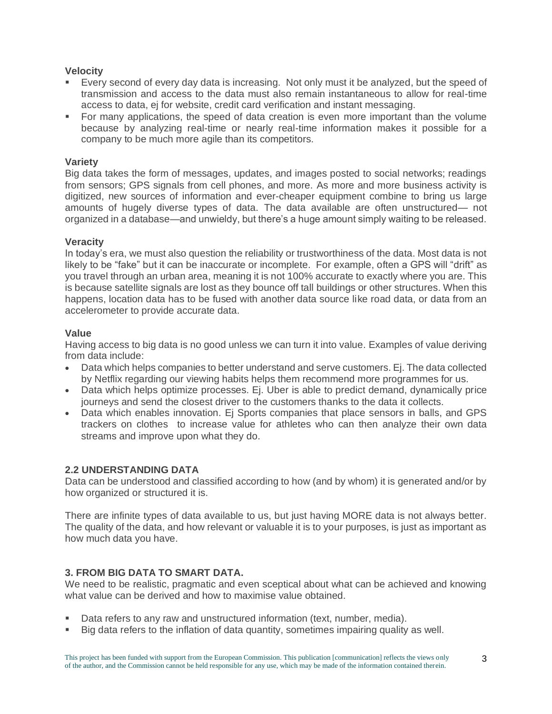# **Velocity**

- Every second of every day data is increasing. Not only must it be analyzed, but the speed of transmission and access to the data must also remain instantaneous to allow for real-time access to data, ej for website, credit card verification and instant messaging.
- For many applications, the speed of data creation is even more important than the volume because by analyzing real-time or nearly real-time information makes it possible for a company to be much more agile than its competitors.

## **Variety**

Big data takes the form of messages, updates, and images posted to social networks; readings from sensors; GPS signals from cell phones, and more. As more and more business activity is digitized, new sources of information and ever-cheaper equipment combine to bring us large amounts of hugely diverse types of data. The data available are often unstructured— not organized in a database—and unwieldy, but there's a huge amount simply waiting to be released.

## **Veracity**

In today's era, we must also question the reliability or trustworthiness of the data. Most data is not likely to be "fake" but it can be inaccurate or incomplete. For example, often a GPS will "drift" as you travel through an urban area, meaning it is not 100% accurate to exactly where you are. This is because satellite signals are lost as they bounce off tall buildings or other structures. When this happens, location data has to be fused with another data source like road data, or data from an accelerometer to provide accurate data.

## **Value**

Having access to big data is no good unless we can turn it into value. Examples of value deriving from data include:

- Data which helps companies to better understand and serve customers. Ej. The data collected by Netflix regarding our viewing habits helps them recommend more programmes for us.
- Data which helps optimize processes. Ei. Uber is able to predict demand, dynamically price journeys and send the closest driver to the customers thanks to the data it collects.
- Data which enables innovation. Ej Sports companies that place sensors in balls, and GPS trackers on clothes to increase value for athletes who can then analyze their own data streams and improve upon what they do.

# **2.2 UNDERSTANDING DATA**

Data can be understood and classified according to how (and by whom) it is generated and/or by how organized or structured it is.

There are infinite types of data available to us, but just having MORE data is not always better. The quality of the data, and how relevant or valuable it is to your purposes, is just as important as how much data you have.

# **3. FROM BIG DATA TO SMART DATA.**

We need to be realistic, pragmatic and even sceptical about what can be achieved and knowing what value can be derived and how to maximise value obtained.

- Data refers to any raw and unstructured information (text, number, media).
- Big data refers to the inflation of data quantity, sometimes impairing quality as well.